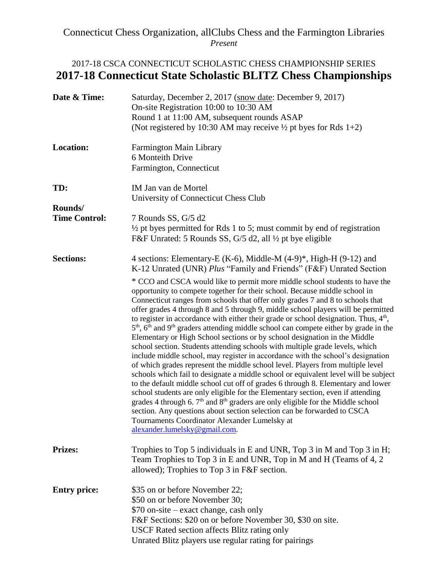## Connecticut Chess Organization, allClubs Chess and the Farmington Libraries *Present*

## 2017-18 CSCA CONNECTICUT SCHOLASTIC CHESS CHAMPIONSHIP SERIES **2017-18 Connecticut State Scholastic BLITZ Chess Championships**

| Date & Time:         | Saturday, December 2, 2017 (snow date: December 9, 2017)<br>On-site Registration 10:00 to 10:30 AM<br>Round 1 at 11:00 AM, subsequent rounds ASAP<br>(Not registered by 10:30 AM may receive $\frac{1}{2}$ pt byes for Rds 1+2)                                                                                                                                                                                                                                                                                                                                                                                                                                                                                                                                                                                                                                                                                                                                                                                                                                                                                                                                                                                                                                                                                                                                                                                                              |  |  |  |  |  |
|----------------------|----------------------------------------------------------------------------------------------------------------------------------------------------------------------------------------------------------------------------------------------------------------------------------------------------------------------------------------------------------------------------------------------------------------------------------------------------------------------------------------------------------------------------------------------------------------------------------------------------------------------------------------------------------------------------------------------------------------------------------------------------------------------------------------------------------------------------------------------------------------------------------------------------------------------------------------------------------------------------------------------------------------------------------------------------------------------------------------------------------------------------------------------------------------------------------------------------------------------------------------------------------------------------------------------------------------------------------------------------------------------------------------------------------------------------------------------|--|--|--|--|--|
| <b>Location:</b>     | <b>Farmington Main Library</b><br>6 Monteith Drive<br>Farmington, Connecticut                                                                                                                                                                                                                                                                                                                                                                                                                                                                                                                                                                                                                                                                                                                                                                                                                                                                                                                                                                                                                                                                                                                                                                                                                                                                                                                                                                |  |  |  |  |  |
| TD:<br>Rounds/       | IM Jan van de Mortel<br>University of Connecticut Chess Club                                                                                                                                                                                                                                                                                                                                                                                                                                                                                                                                                                                                                                                                                                                                                                                                                                                                                                                                                                                                                                                                                                                                                                                                                                                                                                                                                                                 |  |  |  |  |  |
| <b>Time Control:</b> | 7 Rounds SS, G/5 d2<br>$\frac{1}{2}$ pt byes permitted for Rds 1 to 5; must commit by end of registration<br>F&F Unrated: 5 Rounds SS, G/5 d2, all 1/2 pt bye eligible                                                                                                                                                                                                                                                                                                                                                                                                                                                                                                                                                                                                                                                                                                                                                                                                                                                                                                                                                                                                                                                                                                                                                                                                                                                                       |  |  |  |  |  |
| <b>Sections:</b>     | 4 sections: Elementary-E (K-6), Middle-M $(4-9)^*$ , High-H $(9-12)$ and<br>K-12 Unrated (UNR) Plus "Family and Friends" (F&F) Unrated Section<br>* CCO and CSCA would like to permit more middle school students to have the<br>opportunity to compete together for their school. Because middle school in<br>Connecticut ranges from schools that offer only grades 7 and 8 to schools that<br>offer grades 4 through 8 and 5 through 9, middle school players will be permitted<br>to register in accordance with either their grade or school designation. Thus, $4th$ ,<br>$5th$ , $6th$ and $9th$ graders attending middle school can compete either by grade in the<br>Elementary or High School sections or by school designation in the Middle<br>school section. Students attending schools with multiple grade levels, which<br>include middle school, may register in accordance with the school's designation<br>of which grades represent the middle school level. Players from multiple level<br>schools which fail to designate a middle school or equivalent level will be subject<br>to the default middle school cut off of grades 6 through 8. Elementary and lower<br>school students are only eligible for the Elementary section, even if attending<br>grades 4 through 6. $7th$ and $8th$ graders are only eligible for the Middle school<br>section. Any questions about section selection can be forwarded to CSCA |  |  |  |  |  |
|                      | Tournaments Coordinator Alexander Lumelsky at<br>alexander.lumelsky@gmail.com.                                                                                                                                                                                                                                                                                                                                                                                                                                                                                                                                                                                                                                                                                                                                                                                                                                                                                                                                                                                                                                                                                                                                                                                                                                                                                                                                                               |  |  |  |  |  |
| <b>Prizes:</b>       | Trophies to Top 5 individuals in E and UNR, Top 3 in M and Top 3 in H;<br>Team Trophies to Top 3 in E and UNR, Top in M and H (Teams of 4, 2)<br>allowed); Trophies to Top 3 in F&F section.                                                                                                                                                                                                                                                                                                                                                                                                                                                                                                                                                                                                                                                                                                                                                                                                                                                                                                                                                                                                                                                                                                                                                                                                                                                 |  |  |  |  |  |
| <b>Entry price:</b>  | \$35 on or before November 22;<br>\$50 on or before November 30;<br>\$70 on-site – exact change, cash only<br>F&F Sections: \$20 on or before November 30, \$30 on site.<br>USCF Rated section affects Blitz rating only<br>Unrated Blitz players use regular rating for pairings                                                                                                                                                                                                                                                                                                                                                                                                                                                                                                                                                                                                                                                                                                                                                                                                                                                                                                                                                                                                                                                                                                                                                            |  |  |  |  |  |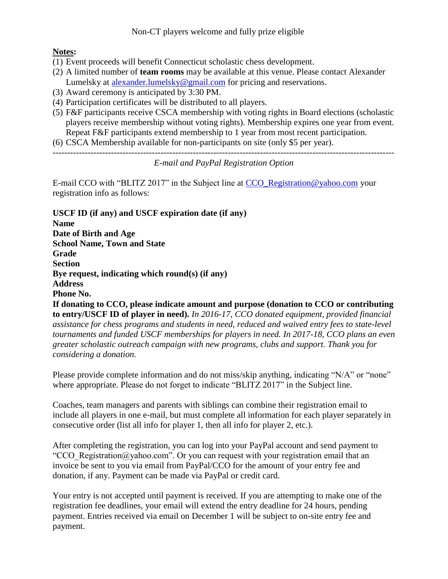Non-CT players welcome and fully prize eligible

## **Notes:**

- (1) Event proceeds will benefit Connecticut scholastic chess development.
- (2) A limited number of **team rooms** may be available at this venue. Please contact Alexander Lumelsky at [alexander.lumelsky@gmail.com](mailto:alexander.lumelsky@gmail.com) for pricing and reservations.
- (3) Award ceremony is anticipated by 3:30 PM.
- (4) Participation certificates will be distributed to all players.
- (5) F&F participants receive CSCA membership with voting rights in Board elections (scholastic players receive membership without voting rights). Membership expires one year from event. Repeat F&F participants extend membership to 1 year from most recent participation.
- (6) CSCA Membership available for non-participants on site (only \$5 per year).

---------------------------------------------------------------------------------------------------------------------

*E-mail and PayPal Registration Option*

E-mail CCO with "BLITZ 2017" in the Subject line at [CCO\\_Registration@yahoo.com](mailto:CCO_Registration@yahoo.com) your registration info as follows:

**USCF ID (if any) and USCF expiration date (if any) Name Date of Birth and Age School Name, Town and State Grade Section Bye request, indicating which round(s) (if any) Address Phone No. If donating to CCO, please indicate amount and purpose (donation to CCO or contributing to entry/USCF ID of player in need).** *In 2016-17, CCO donated equipment, provided financial assistance for chess programs and students in need, reduced and waived entry fees to state-level tournaments and funded USCF memberships for players in need. In 2017-18, CCO plans an even greater scholastic outreach campaign with new programs, clubs and support. Thank you for considering a donation.*

Please provide complete information and do not miss/skip anything, indicating "N/A" or "none" where appropriate. Please do not forget to indicate "BLITZ 2017" in the Subject line.

Coaches, team managers and parents with siblings can combine their registration email to include all players in one e-mail, but must complete all information for each player separately in consecutive order (list all info for player 1, then all info for player 2, etc.).

After completing the registration, you can log into your PayPal account and send payment to "CCO\_Registration@yahoo.com". Or you can request with your registration email that an invoice be sent to you via email from PayPal/CCO for the amount of your entry fee and donation, if any. Payment can be made via PayPal or credit card.

Your entry is not accepted until payment is received. If you are attempting to make one of the registration fee deadlines, your email will extend the entry deadline for 24 hours, pending payment. Entries received via email on December 1 will be subject to on-site entry fee and payment.